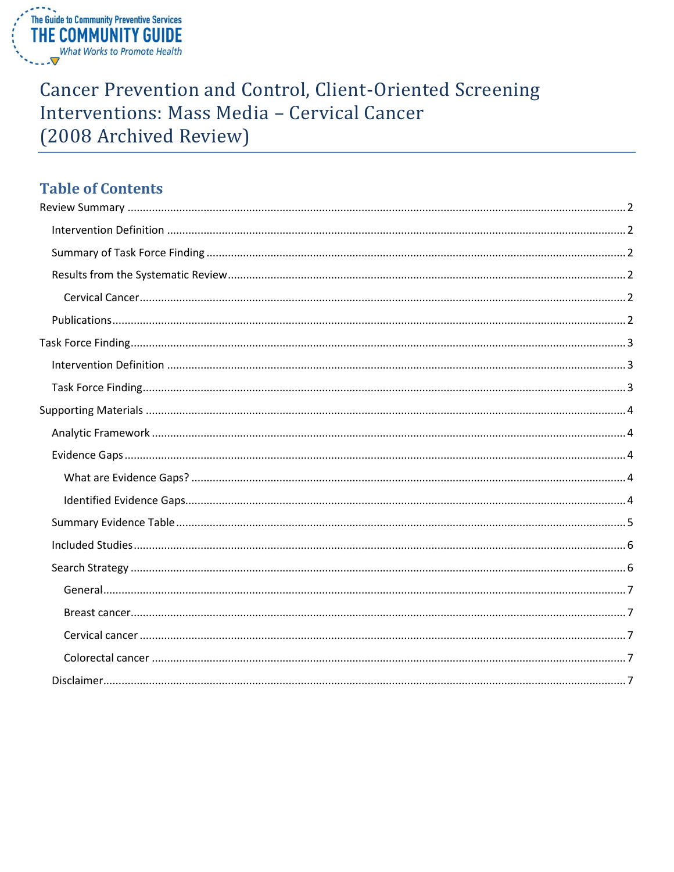

# Cancer Prevention and Control, Client-Oriented Screening Interventions: Mass Media - Cervical Cancer (2008 Archived Review)

# **Table of Contents**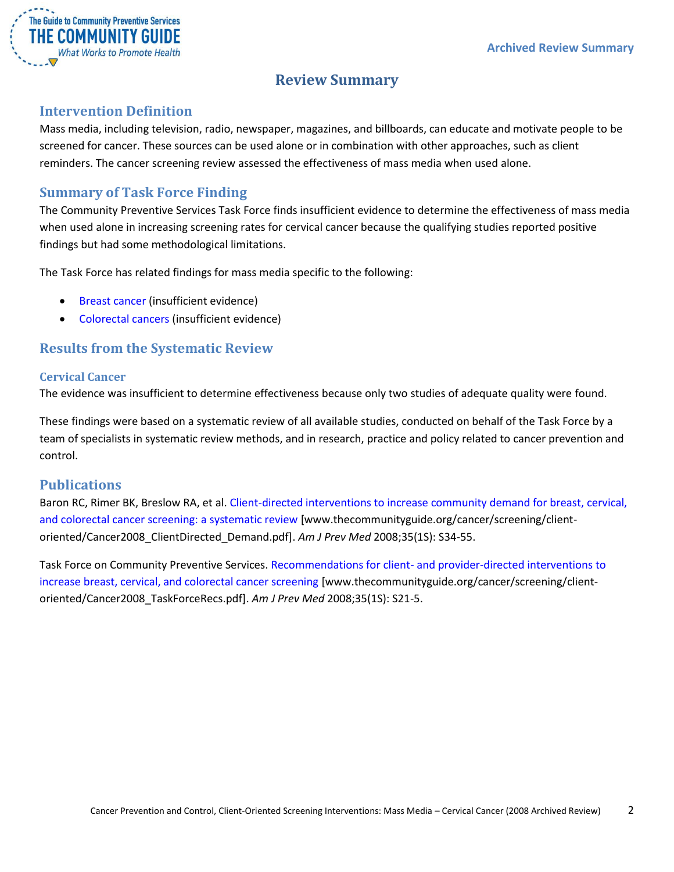

# **Review Summary**

### <span id="page-1-1"></span><span id="page-1-0"></span>**Intervention Definition**

Mass media, including television, radio, newspaper, magazines, and billboards, can educate and motivate people to be screened for cancer. These sources can be used alone or in combination with other approaches, such as client reminders. The cancer screening review assessed the effectiveness of mass media when used alone.

### <span id="page-1-2"></span>**Summary of Task Force Finding**

The Community Preventive Services Task Force finds insufficient evidence to determine the effectiveness of mass media when used alone in increasing screening rates for cervical cancer because the qualifying studies reported positive findings but had some methodological limitations.

The Task Force has related findings for mass media specific to the following:

- **•** [Breast cancer](/sites/default/files/Cancer-Screening-Client-Mass-Media-Archive-Breast.pdf) (insufficient evidence)
- [Colorectal cancers](/sites/default/files/Cancer-Screening-Client-Mass-Media-Archive-Colorectal.pdf) (insufficient evidence)

### <span id="page-1-3"></span>**Results from the Systematic Review**

#### <span id="page-1-4"></span>**Cervical Cancer**

The evidence was insufficient to determine effectiveness because only two studies of adequate quality were found.

These findings were based on a systematic review of all available studies, conducted on behalf of the Task Force by a team of specialists in systematic review methods, and in research, practice and policy related to cancer prevention and control.

### <span id="page-1-5"></span>**Publications**

Baron RC, Rimer BK, Breslow RA, et al. [Client-directed interventions to increase community demand for breast, cervical,](http://www.thecommunityguide.org/cancer/screening/client-oriented/Cancer2008_ClientDirected_Demand.pdf)  [and colorectal cancer screening: a systematic review](http://www.thecommunityguide.org/cancer/screening/client-oriented/Cancer2008_ClientDirected_Demand.pdf) [www.thecommunityguide.org/cancer/screening/clientoriented/Cancer2008\_ClientDirected\_Demand.pdf]. *Am J Prev Med* 2008;35(1S): S34-55.

Task Force on Community Preventive Services. Recommendations for client- [and provider-directed interventions to](http://www.thecommunityguide.org/cancer/screening/client-oriented/Cancer2008_TaskForceRecs.pdf)  [increase breast, cervical, and colorectal cancer screening](http://www.thecommunityguide.org/cancer/screening/client-oriented/Cancer2008_TaskForceRecs.pdf) [www.thecommunityguide.org/cancer/screening/clientoriented/Cancer2008\_TaskForceRecs.pdf]. *Am J Prev Med* 2008;35(1S): S21-5.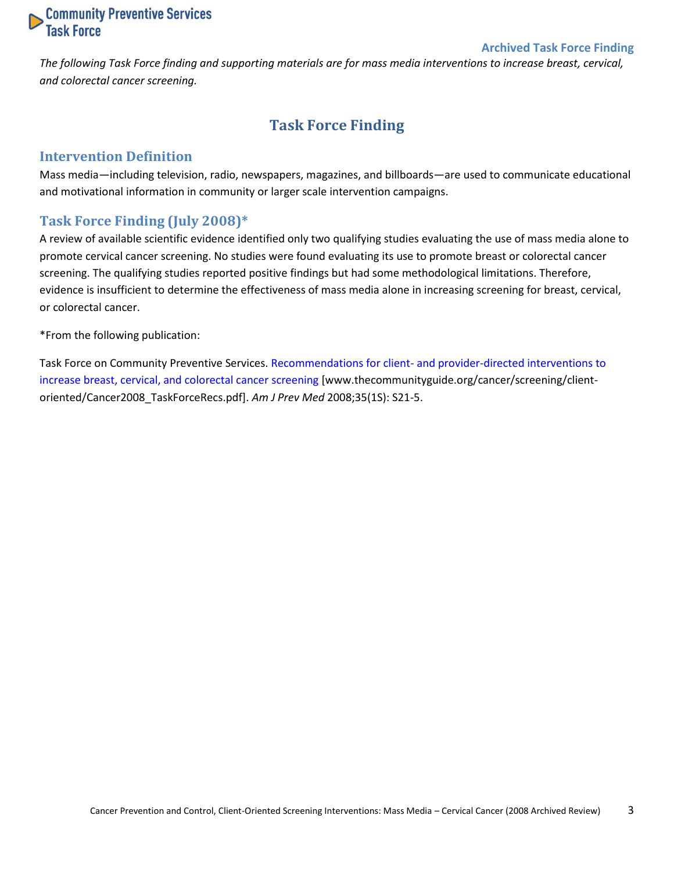

#### **Archived Task Force Finding**

<span id="page-2-0"></span>*The following Task Force finding and supporting materials are for mass media interventions to increase breast, cervical, and colorectal cancer screening.*

# **Task Force Finding**

#### <span id="page-2-1"></span>**Intervention Definition**

Mass media—including television, radio, newspapers, magazines, and billboards—are used to communicate educational and motivational information in community or larger scale intervention campaigns.

### <span id="page-2-2"></span>**Task Force Finding (July 2008)\***

A review of available scientific evidence identified only two qualifying studies evaluating the use of mass media alone to promote cervical cancer screening. No studies were found evaluating its use to promote breast or colorectal cancer screening. The qualifying studies reported positive findings but had some methodological limitations. Therefore, evidence is insufficient to determine the effectiveness of mass media alone in increasing screening for breast, cervical, or colorectal cancer.

\*From the following publication:

Task Force on Community Preventive Services. Recommendations for client- [and provider-directed interventions to](http://www.thecommunityguide.org/cancer/screening/client-oriented/Cancer2008_TaskForceRecs.pdf)  [increase breast, cervical, and colorectal cancer screening](http://www.thecommunityguide.org/cancer/screening/client-oriented/Cancer2008_TaskForceRecs.pdf) [www.thecommunityguide.org/cancer/screening/clientoriented/Cancer2008\_TaskForceRecs.pdf]. *Am J Prev Med* 2008;35(1S): S21-5.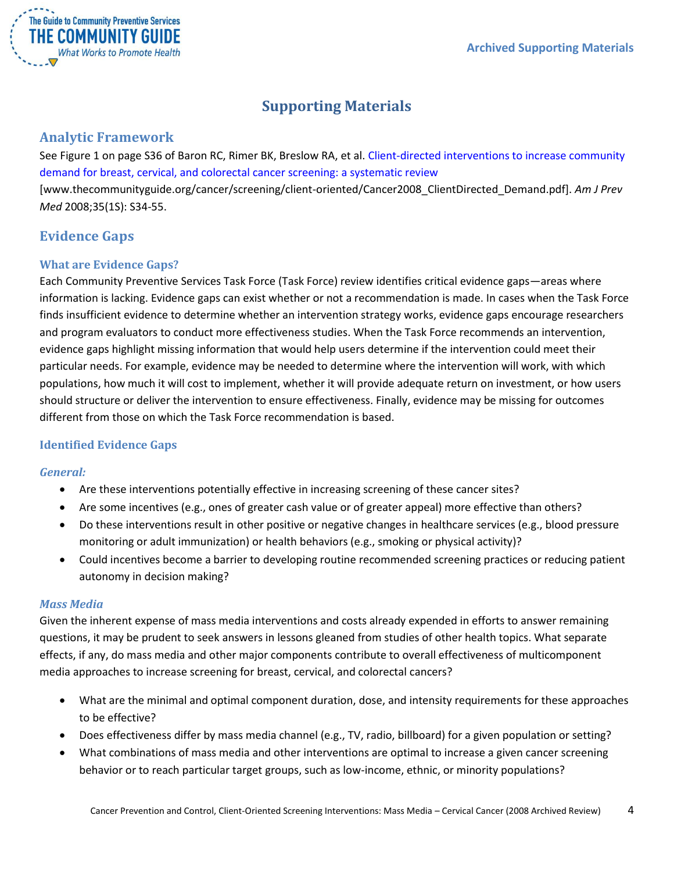

# **Supporting Materials**

### <span id="page-3-1"></span><span id="page-3-0"></span>**Analytic Framework**

See Figure 1 on page S36 of Baron RC, Rimer BK, Breslow RA, et al. [Client-directed interventions to increase community](http://www.thecommunityguide.org/cancer/screening/client-oriented/Cancer2008_ClientDirected_Demand.pdf)  [demand for breast, cervical, and colorectal cancer screening: a systematic review](http://www.thecommunityguide.org/cancer/screening/client-oriented/Cancer2008_ClientDirected_Demand.pdf) [www.thecommunityguide.org/cancer/screening/client-oriented/Cancer2008\_ClientDirected\_Demand.pdf]. *Am J Prev Med* 2008;35(1S): S34-55.

# <span id="page-3-2"></span>**Evidence Gaps**

### <span id="page-3-3"></span>**What are Evidence Gaps?**

Each Community Preventive Services Task Force (Task Force) review identifies critical evidence gaps—areas where information is lacking. Evidence gaps can exist whether or not a recommendation is made. In cases when the Task Force finds insufficient evidence to determine whether an intervention strategy works, evidence gaps encourage researchers and program evaluators to conduct more effectiveness studies. When the Task Force recommends an intervention, evidence gaps highlight missing information that would help users determine if the intervention could meet their particular needs. For example, evidence may be needed to determine where the intervention will work, with which populations, how much it will cost to implement, whether it will provide adequate return on investment, or how users should structure or deliver the intervention to ensure effectiveness. Finally, evidence may be missing for outcomes different from those on which the Task Force recommendation is based.

### <span id="page-3-4"></span>**Identified Evidence Gaps**

#### *General:*

- Are these interventions potentially effective in increasing screening of these cancer sites?
- Are some incentives (e.g., ones of greater cash value or of greater appeal) more effective than others?
- Do these interventions result in other positive or negative changes in healthcare services (e.g., blood pressure monitoring or adult immunization) or health behaviors (e.g., smoking or physical activity)?
- Could incentives become a barrier to developing routine recommended screening practices or reducing patient autonomy in decision making?

#### *Mass Media*

Given the inherent expense of mass media interventions and costs already expended in efforts to answer remaining questions, it may be prudent to seek answers in lessons gleaned from studies of other health topics. What separate effects, if any, do mass media and other major components contribute to overall effectiveness of multicomponent media approaches to increase screening for breast, cervical, and colorectal cancers?

- What are the minimal and optimal component duration, dose, and intensity requirements for these approaches to be effective?
- Does effectiveness differ by mass media channel (e.g., TV, radio, billboard) for a given population or setting?
- What combinations of mass media and other interventions are optimal to increase a given cancer screening behavior or to reach particular target groups, such as low-income, ethnic, or minority populations?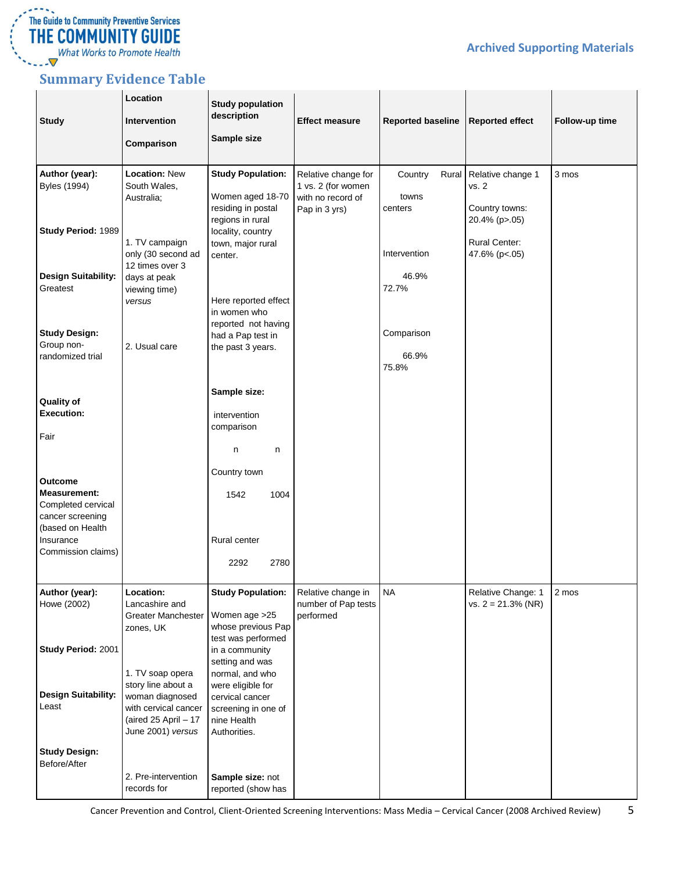

**Archived Supporting Materials**

# <span id="page-4-0"></span>**Summary Evidence Table**

| <b>Study</b>                                                                                        | Location<br>Intervention<br>Comparison                                                                                         | <b>Study population</b><br>description<br>Sample size                                                         | <b>Effect measure</b>                                    | <b>Reported baseline</b> | <b>Reported effect</b>                      | Follow-up time |
|-----------------------------------------------------------------------------------------------------|--------------------------------------------------------------------------------------------------------------------------------|---------------------------------------------------------------------------------------------------------------|----------------------------------------------------------|--------------------------|---------------------------------------------|----------------|
| Author (year):                                                                                      | <b>Location: New</b>                                                                                                           | <b>Study Population:</b>                                                                                      | Relative change for                                      | Country<br>Rural         | Relative change 1                           | 3 mos          |
| <b>Byles (1994)</b>                                                                                 | South Wales,<br>Australia;                                                                                                     | Women aged 18-70<br>residing in postal<br>regions in rural                                                    | 1 vs. 2 (for women<br>with no record of<br>Pap in 3 yrs) | towns<br>centers         | vs. 2<br>Country towns:<br>20.4% (p>.05)    |                |
| Study Period: 1989                                                                                  | 1. TV campaign<br>only (30 second ad<br>12 times over 3                                                                        | locality, country<br>town, major rural<br>center.                                                             |                                                          | Intervention             | <b>Rural Center:</b><br>47.6% (p<.05)       |                |
| <b>Design Suitability:</b><br>Greatest                                                              | days at peak<br>viewing time)<br>versus                                                                                        | Here reported effect<br>in women who                                                                          |                                                          | 46.9%<br>72.7%           |                                             |                |
| <b>Study Design:</b>                                                                                |                                                                                                                                | reported not having<br>had a Pap test in                                                                      |                                                          | Comparison               |                                             |                |
| Group non-<br>randomized trial                                                                      | 2. Usual care                                                                                                                  | the past 3 years.                                                                                             |                                                          | 66.9%<br>75.8%           |                                             |                |
| Quality of<br><b>Execution:</b>                                                                     |                                                                                                                                | Sample size:<br>intervention                                                                                  |                                                          |                          |                                             |                |
| Fair                                                                                                |                                                                                                                                | comparison<br>n<br>n                                                                                          |                                                          |                          |                                             |                |
| <b>Outcome</b><br><b>Measurement:</b><br>Completed cervical<br>cancer screening<br>(based on Health |                                                                                                                                | Country town<br>1542<br>1004                                                                                  |                                                          |                          |                                             |                |
| Insurance<br>Commission claims)                                                                     |                                                                                                                                | Rural center<br>2780<br>2292                                                                                  |                                                          |                          |                                             |                |
| Author (year):<br>Howe (2002)                                                                       | Location:<br>Lancashire and                                                                                                    | <b>Study Population:</b>                                                                                      | Relative change in<br>number of Pap tests                | <b>NA</b>                | Relative Change: 1<br>vs. $2 = 21.3\%$ (NR) | 2 mos          |
| Study Period: 2001                                                                                  | <b>Greater Manchester</b><br>zones, UK                                                                                         | Women age > 25<br>whose previous Pap<br>test was performed<br>in a community<br>setting and was               | performed                                                |                          |                                             |                |
| <b>Design Suitability:</b><br>Least                                                                 | 1. TV soap opera<br>story line about a<br>woman diagnosed<br>with cervical cancer<br>(aired 25 April - 17<br>June 2001) versus | normal, and who<br>were eligible for<br>cervical cancer<br>screening in one of<br>nine Health<br>Authorities. |                                                          |                          |                                             |                |
| <b>Study Design:</b><br>Before/After                                                                |                                                                                                                                |                                                                                                               |                                                          |                          |                                             |                |
|                                                                                                     | 2. Pre-intervention<br>records for                                                                                             | Sample size: not<br>reported (show has                                                                        |                                                          |                          |                                             |                |

Cancer Prevention and Control, Client-Oriented Screening Interventions: Mass Media – Cervical Cancer (2008 Archived Review) 5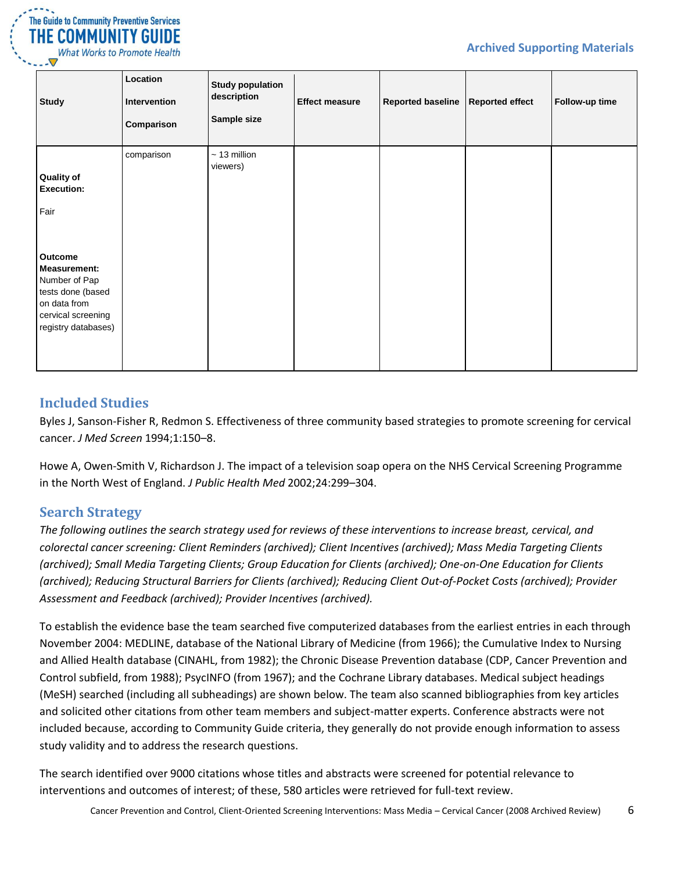

| <b>Study</b>                                                                                                                      | Location<br>Intervention<br>Comparison | <b>Study population</b><br>description<br>Sample size | <b>Effect measure</b> | <b>Reported baseline</b> | <b>Reported effect</b> | Follow-up time |
|-----------------------------------------------------------------------------------------------------------------------------------|----------------------------------------|-------------------------------------------------------|-----------------------|--------------------------|------------------------|----------------|
| <b>Quality of</b><br><b>Execution:</b><br>Fair                                                                                    | comparison                             | $\sim$ 13 million<br>viewers)                         |                       |                          |                        |                |
| Outcome<br><b>Measurement:</b><br>Number of Pap<br>tests done (based<br>on data from<br>cervical screening<br>registry databases) |                                        |                                                       |                       |                          |                        |                |

### <span id="page-5-0"></span>**Included Studies**

Byles J, Sanson-Fisher R, Redmon S. Effectiveness of three community based strategies to promote screening for cervical cancer. *J Med Screen* 1994;1:150–8.

Howe A, Owen-Smith V, Richardson J. The impact of a television soap opera on the NHS Cervical Screening Programme in the North West of England. *J Public Health Med* 2002;24:299–304.

### <span id="page-5-1"></span>**Search Strategy**

*The following outlines the search strategy used for reviews of these interventions to increase breast, cervical, and colorectal cancer screening: Client Reminders (archived); Client Incentives (archived); Mass Media Targeting Clients (archived); Small Media Targeting Clients; Group Education for Clients (archived); One-on-One Education for Clients (archived); Reducing Structural Barriers for Clients (archived); Reducing Client Out-of-Pocket Costs (archived); Provider Assessment and Feedback (archived); Provider Incentives (archived).*

To establish the evidence base the team searched five computerized databases from the earliest entries in each through November 2004: MEDLINE, database of the National Library of Medicine (from 1966); the Cumulative Index to Nursing and Allied Health database (CINAHL, from 1982); the Chronic Disease Prevention database (CDP, Cancer Prevention and Control subfield, from 1988); PsycINFO (from 1967); and the Cochrane Library databases. Medical subject headings (MeSH) searched (including all subheadings) are shown below. The team also scanned bibliographies from key articles and solicited other citations from other team members and subject-matter experts. Conference abstracts were not included because, according to Community Guide criteria, they generally do not provide enough information to assess study validity and to address the research questions.

The search identified over 9000 citations whose titles and abstracts were screened for potential relevance to interventions and outcomes of interest; of these, 580 articles were retrieved for full-text review.